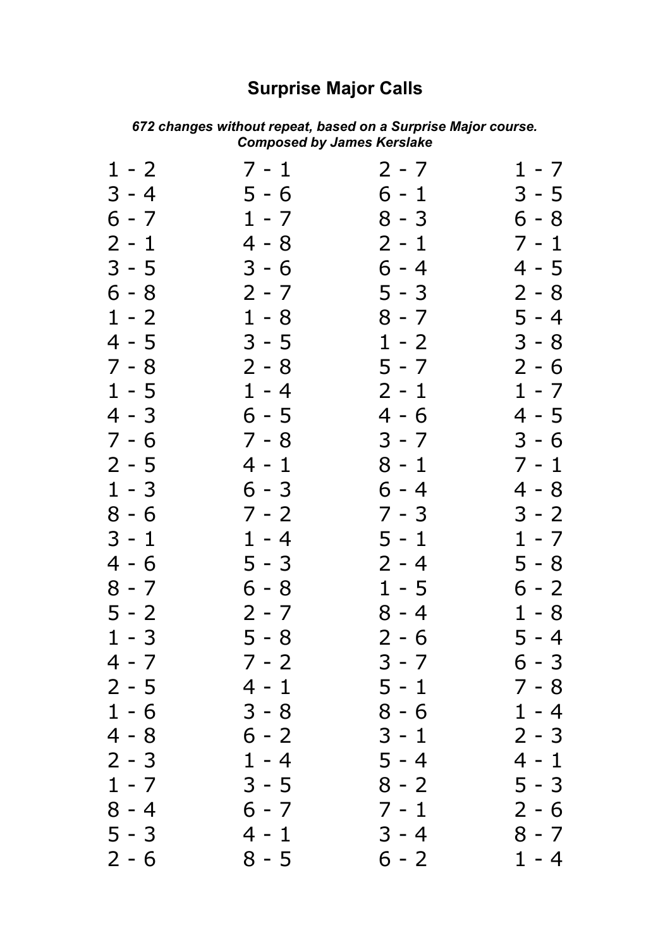## **Surprise Major Calls**

| $1 - 2$ | 7 - 1   | 2 - 7   | $1 - 7$ |
|---------|---------|---------|---------|
| 3 - 4   | 5 - 6   | 6 - 1   | 3 - 5   |
| $6 - 7$ | $1 - 7$ | $8 - 3$ | $6 - 8$ |
| $2 - 1$ | $4 - 8$ | $2 - 1$ | $7 - 1$ |
| $3 - 5$ | $3 - 6$ | $6 - 4$ | 4 - 5   |
| $6 - 8$ | $2 - 7$ | $5 - 3$ | $2 - 8$ |
| $1 - 2$ | $1 - 8$ | $8 - 7$ | 5 - 4   |
| 4 - 5   | $3 - 5$ | $1 - 2$ | $3 - 8$ |
| $7 - 8$ | $2 - 8$ | $5 - 7$ | $2 - 6$ |
| $1 - 5$ | $1 - 4$ | $2 - 1$ | $1 - 7$ |
| $4 - 3$ | $6 - 5$ | 4 - 6   | 4 - 5   |
| 7 - 6   | $7 - 8$ | $3 - 7$ | $3 - 6$ |
| $2 - 5$ | 4 - 1   | $8 - 1$ | $7 - 1$ |
| $1 - 3$ | 6 - 3   | $6 - 4$ | 4 - 8   |
| $8 - 6$ | $7 - 2$ | 7 - 3   | $3 - 2$ |
| $3 - 1$ | $1 - 4$ | $5 - 1$ | $1 - 7$ |
| $4 - 6$ | $5 - 3$ | $2 - 4$ | $5 - 8$ |
| 8 - 7   | 6 - 8   | $1 - 5$ | 6 - 2   |
| $5 - 2$ | 2 - 7   | $8 - 4$ | $1 - 8$ |
| $1 - 3$ | $5 - 8$ | $2 - 6$ | 5 - 4   |
| 4 - 7   | 7 - 2   | 3 - 7   | 6 - 3   |
| $2 - 5$ | $4 - 1$ | $5 - 1$ | $7 - 8$ |
| $1 - 6$ | $3 - 8$ | $8 - 6$ | $1 - 4$ |
| $4 - 8$ | $6 - 2$ | $3 - 1$ | $2 - 3$ |
| $2 - 3$ | $1 - 4$ | $5 - 4$ | $4 - 1$ |
| $1 - 7$ | $3 - 5$ | $8 - 2$ | $5 - 3$ |
| $8 - 4$ | $6 - 7$ | $7 - 1$ | $2 - 6$ |
| $5 - 3$ | $4 - 1$ | $3 - 4$ | $8 - 7$ |
| $2 - 6$ | $8 - 5$ | $6 - 2$ | $1 - 4$ |

## *changes without repeat, based on a Surprise Major course. Composed by James Kerslake*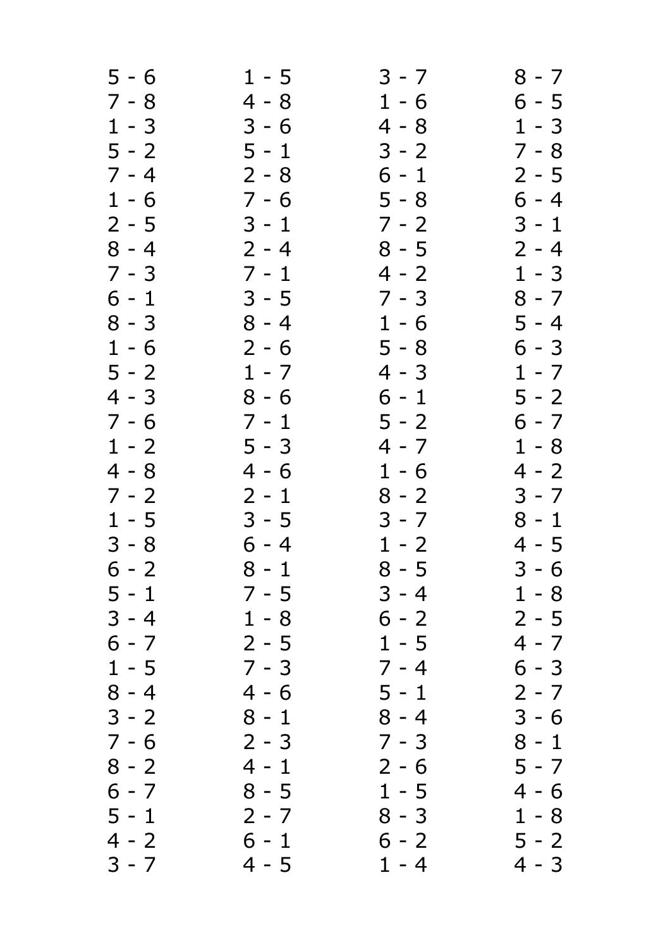| $5 - 6$            | $1 - 5$            | $3 - 7$            | 8 - 7              |
|--------------------|--------------------|--------------------|--------------------|
| $7 - 8$            | $4 - 8$            | $1 - 6$            | 6 - 5              |
| $1 - 3$            | $3 - 6$            | 4 - 8              | $1 - 3$            |
| $5 - 2$            | $5 - 1$            | $3 - 2$            | $7 - 8$            |
| $7 - 4$            | $2 - 8$            | $6 - 1$            | $2 - 5$            |
| $1 - 6$            | $7 - 6$            | $5 - 8$            | $6 - 4$            |
| $2 - 5$            | $3 - 1$            | $7 - 2$            | $3 - 1$            |
| $8 - 4$            | $2 - 4$            | $8 - 5$            | $2 - 4$            |
| $7 - 3$            | $7 - 1$            | $4 - 2$            | $1 - 3$            |
| $6 - 1$            | $3 - 5$            | $7 - 3$            | $8 - 7$            |
| $8 - 3$            | $8 - 4$            | $1 - 6$            | 5 - 4              |
| $1 - 6$            | $2 - 6$            | $5 - 8$            | $6 - 3$            |
| $5 - 2$            | $1 - 7$            | 4 - 3              | $1 - 7$            |
| 4 - 3              | $8 - 6$            | 6 - 1              | $5 - 2$            |
| $7 - 6$            | $7 - 1$            | $5 - 2$            | 6 - 7              |
| $1 - 2$            | $5 - 3$            | 4 - 7              | $1 - 8$            |
| 4 - 8              | $4 - 6$            | $1 - 6$            | $4 - 2$            |
| $7 - 2$            | $2 - 1$            | $8 - 2$            | $3 - 7$            |
| $1 - 5$            | $3 - 5$            | $3 - 7$            | $8 - 1$            |
| $3 - 8$            | $6 - 4$            | $1 - 2$            | $4 - 5$            |
| $6 - 2$            | $8 - 1$            | $8 - 5$            | $3 - 6$            |
| 5 - 1              | $7 - 5$            | 3 - 4              | $1 - 8$            |
| $3 - 4$            | $1 - 8$            | $6 - 2$            | $2 - 5$            |
| $6 - 7$            | $2 - 5$            | $1 - 5$            | $4 - 7$            |
| $1 - 5$            | $7 - 3$            | $7 - 4$            | $6 - 3$            |
| $8 - 4$            | $4 - 6$            | $5 - 1$            | $2 - 7$            |
| $3 - 2$            | $8 - 1$            | $8 - 4$            | $3 - 6$            |
| $7 - 6$            | $2 - 3$            | $7 - 3$            | $8 - 1$            |
| $8 - 2$<br>$6 - 7$ | $4 - 1$<br>$8 - 5$ | $2 - 6$<br>$1 - 5$ | $5 - 7$<br>$4 - 6$ |
| $5 - 1$            | $2 - 7$            | $8 - 3$            | $1 - 8$            |
| 4 - 2              | $6 - 1$            | $6 - 2$            | $5 - 2$            |
| $3 - 7$            | $4 - 5$            | $1 - 4$            | 4 - 3              |
|                    |                    |                    |                    |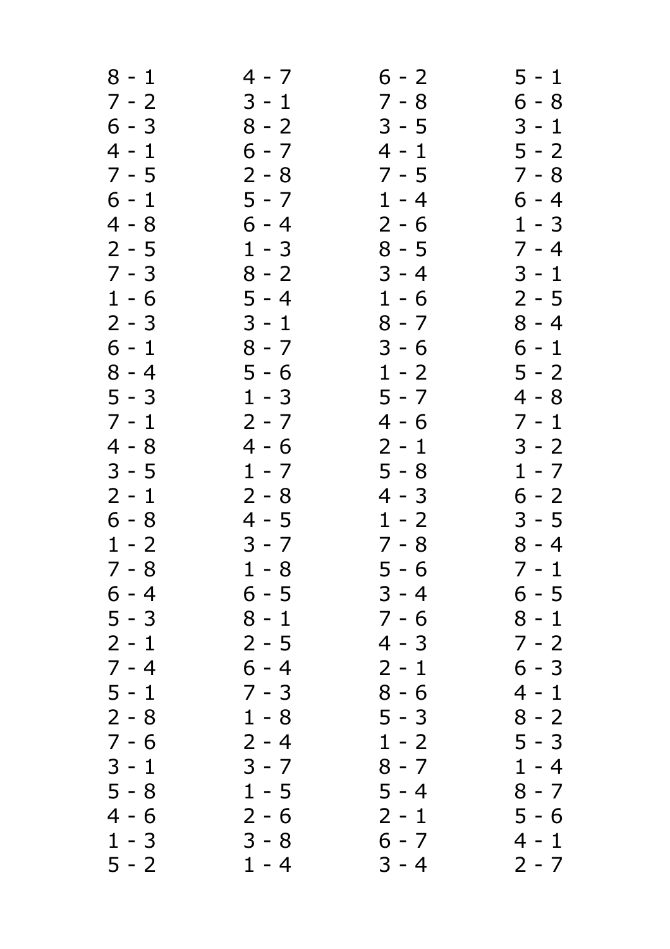| $8 - 1$ | 4 - 7   | $6 - 2$ | $5 - 1$ |
|---------|---------|---------|---------|
| $7 - 2$ | $3 - 1$ | $7 - 8$ | $6 - 8$ |
| 6 - 3   | $8 - 2$ | $3 - 5$ | 3 - 1   |
| $4 - 1$ | $6 - 7$ | $4 - 1$ | $5 - 2$ |
| $7 - 5$ | $2 - 8$ | $7 - 5$ | $7 - 8$ |
| $6 - 1$ | $5 - 7$ | $1 - 4$ | $6 - 4$ |
| $4 - 8$ | $6 - 4$ | $2 - 6$ | $1 - 3$ |
| 2 - 5   | $1 - 3$ | $8 - 5$ | $7 - 4$ |
| $7 - 3$ | $8 - 2$ | $3 - 4$ | $3 - 1$ |
| $1 - 6$ | $5 - 4$ | $1 - 6$ | $2 - 5$ |
| $2 - 3$ | $3 - 1$ | $8 - 7$ | $8 - 4$ |
| $6 - 1$ | $8 - 7$ | $3 - 6$ | $6 - 1$ |
| 8 - 4   | $5 - 6$ | $1 - 2$ | $5 - 2$ |
|         |         |         |         |
| $5 - 3$ | $1 - 3$ | $5 - 7$ | 4 - 8   |
| $7 - 1$ | $2 - 7$ | 4 - 6   | $7 - 1$ |
| 4 - 8   | $4 - 6$ | $2 - 1$ | $3 - 2$ |
| $3 - 5$ | $1 - 7$ | $5 - 8$ | $1 - 7$ |
| 2 - 1   | $2 - 8$ | 4 - 3   | $6 - 2$ |
| $6 - 8$ | $4 - 5$ | $1 - 2$ | $3 - 5$ |
| $1 - 2$ | $3 - 7$ | $7 - 8$ | $8 - 4$ |
| $7 - 8$ | $1 - 8$ | $5 - 6$ | $7 - 1$ |
| 6 - 4   | 6 - 5   | $3 - 4$ | 6 - 5   |
| $5 - 3$ | $8 - 1$ | $7 - 6$ | 8 - 1   |
| $2 - 1$ | $2 - 5$ | 4 - 3   | $7 - 2$ |
| $7 - 4$ | $6 - 4$ | $2 - 1$ | $6 - 3$ |
| $5 - 1$ | $7 - 3$ | $8 - 6$ | 4 - 1   |
| $2 - 8$ | $1 - 8$ | $5 - 3$ | $8 - 2$ |
| 7 - 6   | $2 - 4$ | $1 - 2$ | $5 - 3$ |
| $3 - 1$ | $3 - 7$ | $8 - 7$ | $1 - 4$ |
| $5 - 8$ | $1 - 5$ | $5 - 4$ | $8 - 7$ |
| 4 - 6   | $2 - 6$ | $2 - 1$ | 5 - 6   |
| $1 - 3$ | $3 - 8$ | $6 - 7$ | 4 - 1   |
| $5 - 2$ | $1 - 4$ | $3 - 4$ | $2 - 7$ |
|         |         |         |         |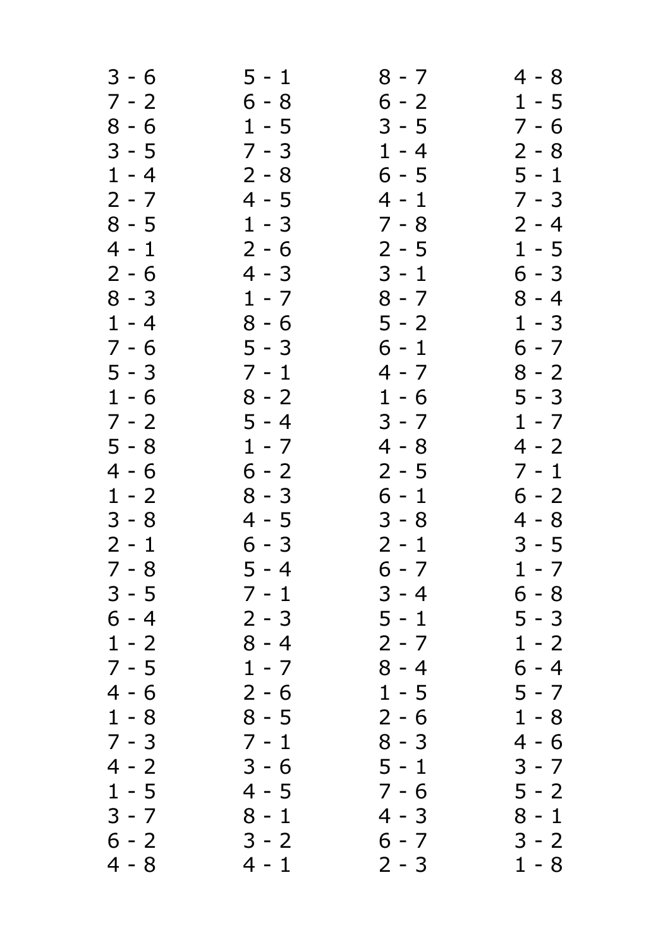| $3 - 6$ | $5 - 1$ | 8 - 7   | 4 - 8   |
|---------|---------|---------|---------|
| $7 - 2$ | $6 - 8$ | $6 - 2$ | $1 - 5$ |
| $8 - 6$ | $1 - 5$ | $3 - 5$ | 7 - 6   |
| $3 - 5$ | $7 - 3$ | $1 - 4$ | $2 - 8$ |
| $1 - 4$ | $2 - 8$ | $6 - 5$ | $5 - 1$ |
| $2 - 7$ | $4 - 5$ | $4 - 1$ | $7 - 3$ |
| $8 - 5$ | $1 - 3$ | $7 - 8$ | $2 - 4$ |
| 4 - 1   | $2 - 6$ | $2 - 5$ | $1 - 5$ |
| $2 - 6$ | 4 - 3   | $3 - 1$ | 6 - 3   |
| $8 - 3$ | $1 - 7$ | $8 - 7$ | $8 - 4$ |
| $1 - 4$ | $8 - 6$ | $5 - 2$ | $1 - 3$ |
| $7 - 6$ | $5 - 3$ | $6 - 1$ | $6 - 7$ |
| $5 - 3$ | $7 - 1$ | 4 - 7   | $8 - 2$ |
| $1 - 6$ | $8 - 2$ | $1 - 6$ | 5 - 3   |
| $7 - 2$ | $5 - 4$ | $3 - 7$ | $1 - 7$ |
| $5 - 8$ | $1 - 7$ | 4 - 8   | 4 - 2   |
| 4 - 6   | $6 - 2$ | $2 - 5$ | $7 - 1$ |
| $1 - 2$ | $8 - 3$ | 6 - 1   | $6 - 2$ |
| $3 - 8$ | 4 - 5   | $3 - 8$ | 4 - 8   |
| $2 - 1$ | $6 - 3$ | $2 - 1$ | $3 - 5$ |
| $7 - 8$ | $5 - 4$ | $6 - 7$ | $1 - 7$ |
| $3 - 5$ | $7 - 1$ | $3 - 4$ | 6 - 8   |
| 6 - 4   | $2 - 3$ | 5 - 1   | 5 - 3   |
| $1 - 2$ | $8 - 4$ | $2 - 7$ | $1 - 2$ |
| $7 - 5$ | $1 - 7$ | $8 - 4$ | $6 - 4$ |
| 4 - 6   | $2 - 6$ | $1 - 5$ | $5 - 7$ |
| $1 - 8$ | $8 - 5$ | $2 - 6$ | $1 - 8$ |
| $7 - 3$ | $7 - 1$ | $8 - 3$ | 4 - 6   |
| 4 - 2   | $3 - 6$ | $5 - 1$ | 3 - 7   |
| $1 - 5$ | 4 - 5   | $7 - 6$ | $5 - 2$ |
| $3 - 7$ | $8 - 1$ | $4 - 3$ | 8 - 1   |
| $6 - 2$ | $3 - 2$ | $6 - 7$ | $3 - 2$ |
| 4 - 8   | $4 - 1$ | $2 - 3$ | $1 - 8$ |
|         |         |         |         |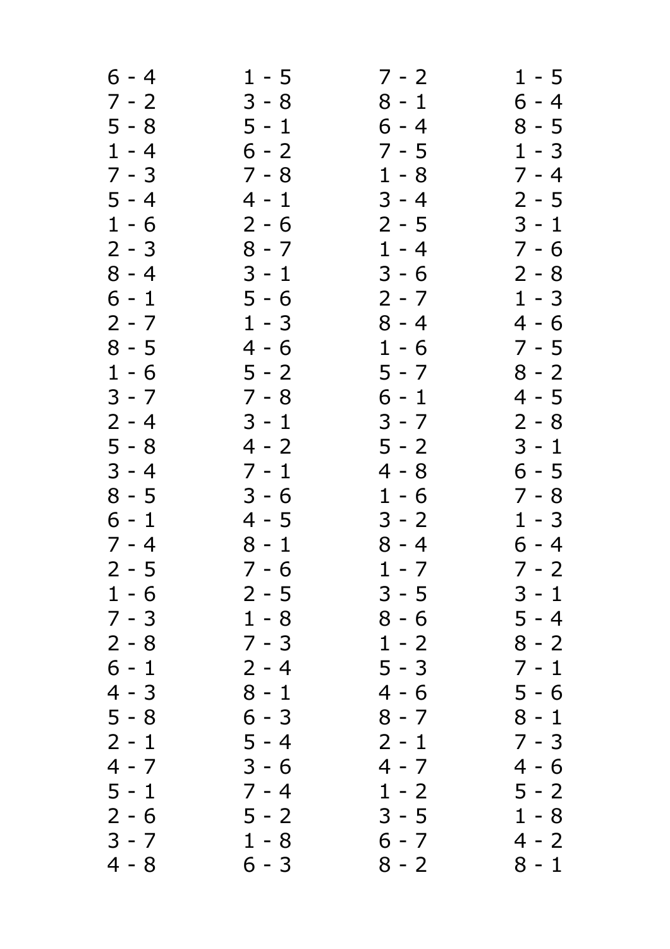| 6 - 4   | $1 - 5$ | $7 - 2$ | $1 - 5$ |
|---------|---------|---------|---------|
| $7 - 2$ | $3 - 8$ | $8 - 1$ | $6 - 4$ |
| $5 - 8$ | 5 - 1   | 6 - 4   | $8 - 5$ |
| $1 - 4$ | $6 - 2$ | $7 - 5$ | $1 - 3$ |
| $7 - 3$ | $7 - 8$ | $1 - 8$ | $7 - 4$ |
| $5 - 4$ | $4 - 1$ | $3 - 4$ | $2 - 5$ |
| $1 - 6$ | $2 - 6$ | $2 - 5$ | $3 - 1$ |
| $2 - 3$ | $8 - 7$ | $1 - 4$ | $7 - 6$ |
| $8 - 4$ | $3 - 1$ | $3 - 6$ | $2 - 8$ |
| $6 - 1$ | $5 - 6$ | $2 - 7$ | $1 - 3$ |
| $2 - 7$ | $1 - 3$ | $8 - 4$ | $4 - 6$ |
| $8 - 5$ | $4 - 6$ | $1 - 6$ | $7 - 5$ |
| $1 - 6$ | $5 - 2$ | $5 - 7$ | $8 - 2$ |
| $3 - 7$ | $7 - 8$ | 6 - 1   | $4 - 5$ |
| $2 - 4$ | $3 - 1$ | $3 - 7$ | $2 - 8$ |
| $5 - 8$ | $4 - 2$ | $5 - 2$ | $3 - 1$ |
| $3 - 4$ | $7 - 1$ | $4 - 8$ | $6 - 5$ |
| $8 - 5$ | $3 - 6$ | $1 - 6$ | $7 - 8$ |
| $6 - 1$ | $4 - 5$ | $3 - 2$ | $1 - 3$ |
| $7 - 4$ | $8 - 1$ | $8 - 4$ | $6 - 4$ |
| $2 - 5$ | $7 - 6$ | $1 - 7$ | $7 - 2$ |
| $1 - 6$ | $2 - 5$ | $3 - 5$ | $3 - 1$ |
| $7 - 3$ | $1 - 8$ | $8 - 6$ | 5 - 4   |
| $2 - 8$ | $7 - 3$ | $1 - 2$ | $8 - 2$ |
| $6 - 1$ | $2 - 4$ | $5 - 3$ | $7 - 1$ |
| $4 - 3$ | $8 - 1$ | 4 - 6   | $5 - 6$ |
| $5 - 8$ | 6 - 3   | $8 - 7$ | $8 - 1$ |
| $2 - 1$ | 5 - 4   | $2 - 1$ | $7 - 3$ |
| $4 - 7$ | $3 - 6$ | 4 - 7   | 4 - 6   |
| $5 - 1$ | $7 - 4$ | $1 - 2$ | $5 - 2$ |
| $2 - 6$ | 5 - 2   | $3 - 5$ | $1 - 8$ |
| $3 - 7$ | $1 - 8$ | $6 - 7$ | 4 - 2   |
| $4 - 8$ | 6 - 3   | $8 - 2$ | $8 - 1$ |